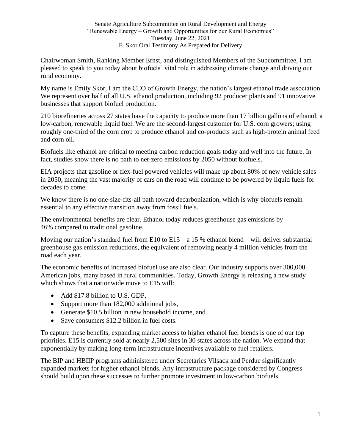## Senate Agriculture Subcommittee on Rural Development and Energy "Renewable Energy – Growth and Opportunities for our Rural Economies" Tuesday, June 22, 2021 E. Skor Oral Testimony As Prepared for Delivery

Chairwoman Smith, Ranking Member Ernst, and distinguished Members of the Subcommittee, I am pleased to speak to you today about biofuels' vital role in addressing climate change and driving our rural economy.

My name is Emily Skor, I am the CEO of Growth Energy, the nation's largest ethanol trade association. We represent over half of all U.S. ethanol production, including 92 producer plants and 91 innovative businesses that support biofuel production.

210 biorefineries across 27 states have the capacity to produce more than 17 billion gallons of ethanol, a low-carbon, renewable liquid fuel. We are the second-largest customer for U.S. corn growers; using roughly one-third of the corn crop to produce ethanol and co-products such as high-protein animal feed and corn oil.

Biofuels like ethanol are critical to meeting carbon reduction goals today and well into the future. In fact, studies show there is no path to net-zero emissions by 2050 without biofuels.

EIA projects that gasoline or flex-fuel powered vehicles will make up about 80% of new vehicle sales in 2050, meaning the vast majority of cars on the road will continue to be powered by liquid fuels for decades to come.

We know there is no one-size-fits-all path toward decarbonization, which is why biofuels remain essential to any effective transition away from fossil fuels.

The environmental benefits are clear. Ethanol today reduces greenhouse gas emissions by 46% compared to traditional gasoline.

Moving our nation's standard fuel from E10 to E15 – a 15 % ethanol blend – will deliver substantial greenhouse gas emission reductions, the equivalent of removing nearly 4 million vehicles from the road each year.

The economic benefits of increased biofuel use are also clear. Our industry supports over 300,000 American jobs, many based in rural communities. Today, Growth Energy is releasing a new study which shows that a nationwide move to E15 will:

- Add \$17.8 billion to U.S. GDP,
- Support more than 182,000 additional jobs,
- Generate \$10.5 billion in new household income, and
- Save consumers \$12.2 billion in fuel costs.

To capture these benefits, expanding market access to higher ethanol fuel blends is one of our top priorities. E15 is currently sold at nearly 2,500 sites in 30 states across the nation. We expand that exponentially by making long-term infrastructure incentives available to fuel retailers.

The BIP and HBIIP programs administered under Secretaries Vilsack and Perdue significantly expanded markets for higher ethanol blends. Any infrastructure package considered by Congress should build upon these successes to further promote investment in low-carbon biofuels.